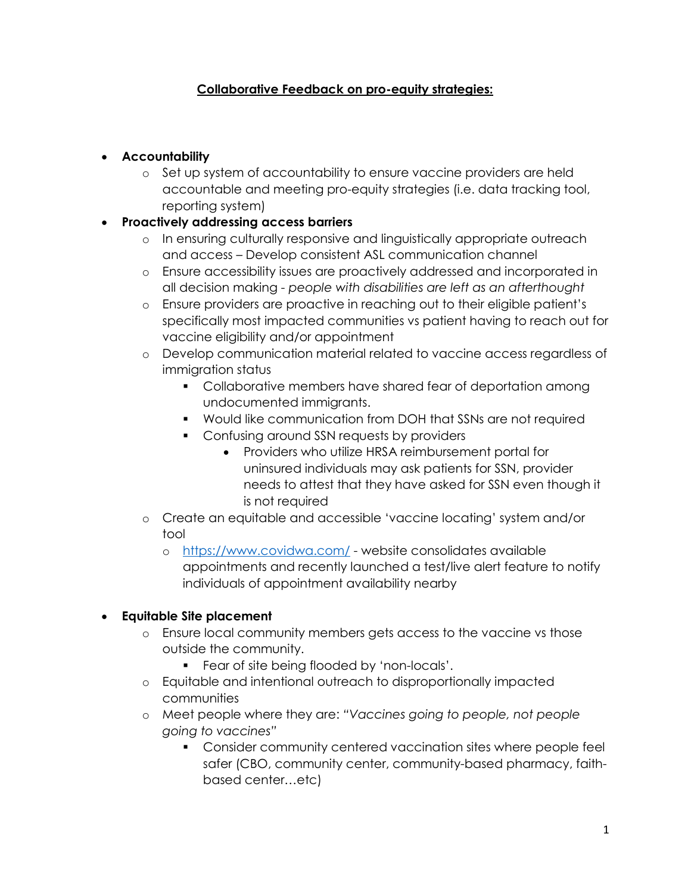## Collaborative Feedback on pro-equity strategies:

## Accountability

o Set up system of accountability to ensure vaccine providers are held accountable and meeting pro-equity strategies (i.e. data tracking tool, reporting system)

# Proactively addressing access barriers

- o In ensuring culturally responsive and linguistically appropriate outreach and access – Develop consistent ASL communication channel
- o Ensure accessibility issues are proactively addressed and incorporated in all decision making - people with disabilities are left as an afterthought
- o Ensure providers are proactive in reaching out to their eligible patient's specifically most impacted communities vs patient having to reach out for vaccine eligibility and/or appointment
- o Develop communication material related to vaccine access regardless of immigration status
	- Collaborative members have shared fear of deportation among undocumented immigrants.
	- Would like communication from DOH that SSNs are not required
	- **Confusing around SSN requests by providers** 
		- Providers who utilize HRSA reimbursement portal for uninsured individuals may ask patients for SSN, provider needs to attest that they have asked for SSN even though it is not required
- o Create an equitable and accessible 'vaccine locating' system and/or tool
	- o https://www.covidwa.com/ website consolidates available appointments and recently launched a test/live alert feature to notify individuals of appointment availability nearby

## Equitable Site placement

- o Ensure local community members gets access to the vaccine vs those outside the community.
	- **Fear of site being flooded by 'non-locals'.**
- o Equitable and intentional outreach to disproportionally impacted communities
- o Meet people where they are: "Vaccines going to people, not people going to vaccines"
	- Consider community centered vaccination sites where people feel safer (CBO, community center, community-based pharmacy, faithbased center…etc)